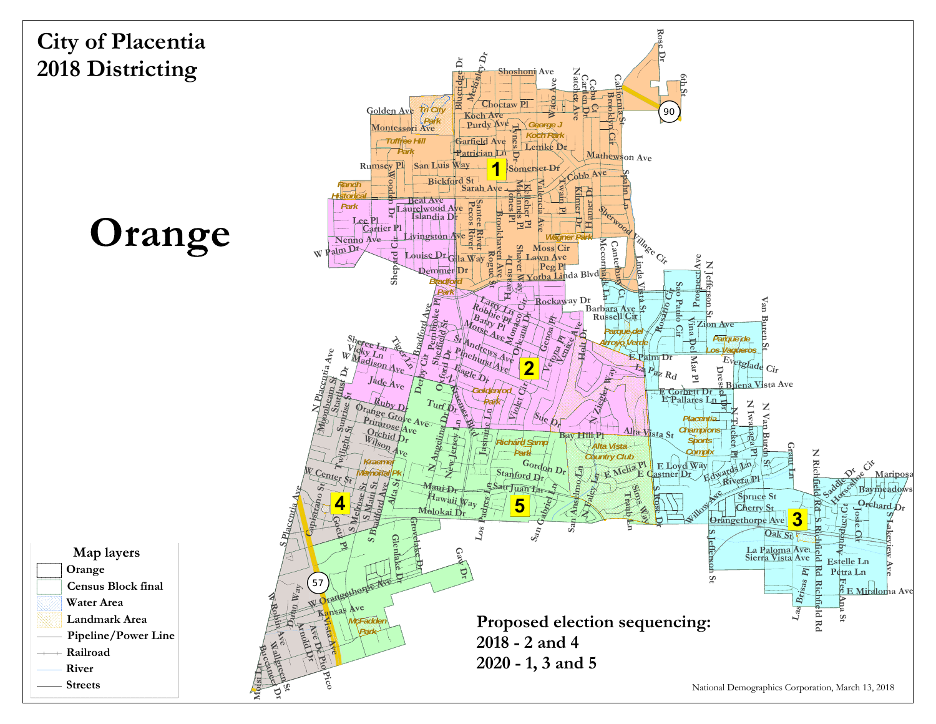